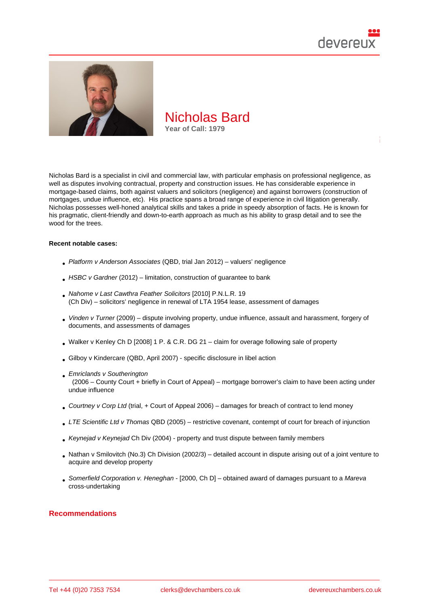

Nicholas Bard is a specialist in civil and commercial law, with particular emphasis on professional negligence, as well as disputes involving contractual, property and construction issues. He has considerable experience in mortgage-based claims, both against valuers and solicitors (negligence) and against borrowers (construction of mortgages, undue influence, etc). His practice spans a broad range of experience in civil litigation generally. Nicholas possesses well-honed analytical skills and takes a pride in speedy absorption of facts. He is known for his pragmatic, client-friendly and down-to-earth approach as much as his ability to grasp detail and to see the wood for the trees.

#### Recent notable cases:

- Platform v Anderson Associates (QBD, trial Jan 2012) valuers' negligence
- HSBC v Gardner (2012) limitation, construction of guarantee to bank
- Nahome v Last Cawthra Feather Solicitors [2010] P.N.L.R. 19 (Ch Div) – solicitors' negligence in renewal of LTA 1954 lease, assessment of damages
- Vinden v Turner (2009) dispute involving property, undue influence, assault and harassment, forgery of [documents, and assessments of damages](http://bit.ly/2VYxovS)
- Walker v Kenley Ch D [2008] 1 P. & C.R. DG 21 claim for overage following sale of property
- Gilboy v Kindercare (QBD, April 2007) specific disclosure in libel action
- [Emriclands v Southerington](http://bit.ly/2Q0LkBu) (2006 – County Court + briefly in Court of Appeal) – mortgage borrower's claim to have been acting under undue influence
- Courtney v Corp Ltd (trial, + Court of Appeal 2006) damages for breach of contract to lend money
- LTE Scientific Ltd v Thomas QBD (2005) restrictive covenant, contempt of court for breach of injunction
- [Keynejad v Keynejad](http://bit.ly/2wIFC0e) Ch Div (2004) property and trust dispute between family members
- Nathan v Smilovitch (No.3) Ch Division (2002/3) detailed account in dispute arising out of a joint venture to acquire and develop property
- Somerfield Corporation v. Heneghan [2000, Ch D] obtained award of damages pursuant to a Mareva cross-undertaking

#### Recommendations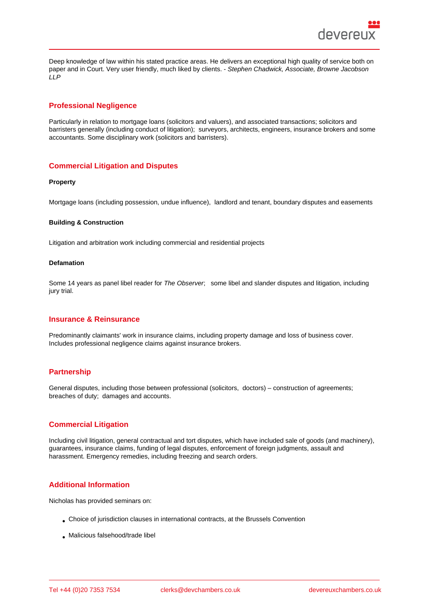Deep knowledge of law within his stated practice areas. He delivers an exceptional high quality of service both on paper and in Court. Very user friendly, much liked by clients. - Stephen Chadwick, Associate, Browne Jacobson LLP

# Professional Negligence

Particularly in relation to mortgage loans (solicitors and valuers), and associated transactions; solicitors and barristers generally (including conduct of litigation); surveyors, architects, engineers, insurance brokers and some accountants. Some disciplinary work (solicitors and barristers).

#### Commercial Litigation and Disputes

Property

Mortgage loans (including possession, undue influence), landlord and tenant, boundary disputes and easements

Building & Construction

Litigation and arbitration work including commercial and residential projects

#### Defamation

Some 14 years as panel libel reader for The Observer; some libel and slander disputes and litigation, including jury trial.

#### Insurance & Reinsurance

Predominantly claimants' work in insurance claims, including property damage and loss of business cover. Includes professional negligence claims against insurance brokers.

### **Partnership**

General disputes, including those between professional (solicitors, doctors) – construction of agreements; breaches of duty; damages and accounts.

### Commercial Litigation

Including civil litigation, general contractual and tort disputes, which have included sale of goods (and machinery), guarantees, insurance claims, funding of legal disputes, enforcement of foreign judgments, assault and harassment. Emergency remedies, including freezing and search orders.

### Additional Information

Nicholas has provided seminars on:

- Choice of jurisdiction clauses in international contracts, at the Brussels Convention
- Malicious falsehood/trade libel